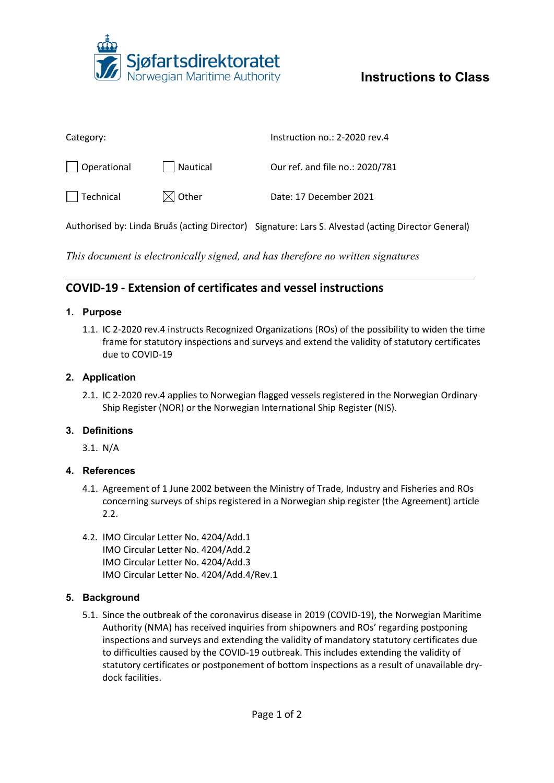

# **Instructions to Class**

| Category:         |                   | Instruction no.: 2-2020 rev.4   |
|-------------------|-------------------|---------------------------------|
| Operational       | Nautical          | Our ref. and file no.: 2020/781 |
| $\vert$ Technical | $\boxtimes$ Other | Date: 17 December 2021          |
|                   |                   |                                 |

Authorised by: Linda Bruås (acting Director) Signature: Lars S. Alvestad (acting Director General)

*This document is electronically signed, and has therefore no written signatures*

# **COVID-19 - Extension of certificates and vessel instructions**

## **1. Purpose**

1.1. IC 2-2020 rev.4 instructs Recognized Organizations (ROs) of the possibility to widen the time frame for statutory inspections and surveys and extend the validity of statutory certificates due to COVID-19

## **2. Application**

2.1. IC 2-2020 rev.4 applies to Norwegian flagged vessels registered in the Norwegian Ordinary Ship Register (NOR) or the Norwegian International Ship Register (NIS).

# **3. Definitions**

3.1. N/A

#### **4. References**

- 4.1. Agreement of 1 June 2002 between the Ministry of Trade, Industry and Fisheries and ROs concerning surveys of ships registered in a Norwegian ship register (the Agreement) article 2.2.
- 4.2. IMO Circular Letter No. 4204/Add.1 IMO Circular Letter No. 4204/Add.2 IMO Circular Letter No. 4204/Add.3 IMO Circular Letter No. 4204/Add.4/Rev.1

#### **5. Background**

5.1. Since the outbreak of the coronavirus disease in 2019 (COVID-19), the Norwegian Maritime Authority (NMA) has received inquiries from shipowners and ROs' regarding postponing inspections and surveys and extending the validity of mandatory statutory certificates due to difficulties caused by the COVID-19 outbreak. This includes extending the validity of statutory certificates or postponement of bottom inspections as a result of unavailable drydock facilities.